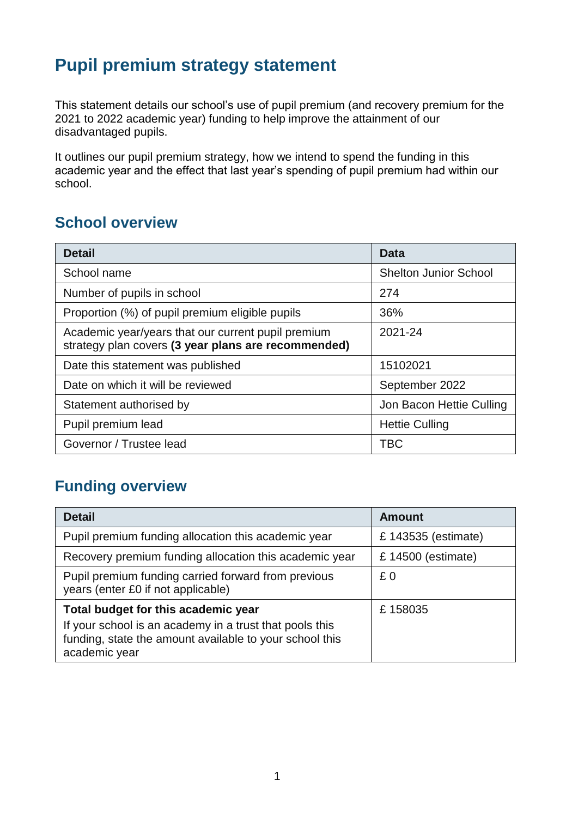# **Pupil premium strategy statement**

This statement details our school's use of pupil premium (and recovery premium for the 2021 to 2022 academic year) funding to help improve the attainment of our disadvantaged pupils.

It outlines our pupil premium strategy, how we intend to spend the funding in this academic year and the effect that last year's spending of pupil premium had within our school.

#### **School overview**

| <b>Detail</b>                                                                                             | Data                         |  |  |
|-----------------------------------------------------------------------------------------------------------|------------------------------|--|--|
| School name                                                                                               | <b>Shelton Junior School</b> |  |  |
| Number of pupils in school                                                                                | 274                          |  |  |
| Proportion (%) of pupil premium eligible pupils                                                           | 36%                          |  |  |
| Academic year/years that our current pupil premium<br>strategy plan covers (3 year plans are recommended) | 2021-24                      |  |  |
| Date this statement was published                                                                         | 15102021                     |  |  |
| Date on which it will be reviewed                                                                         | September 2022               |  |  |
| Statement authorised by                                                                                   | Jon Bacon Hettie Culling     |  |  |
| Pupil premium lead                                                                                        | <b>Hettie Culling</b>        |  |  |
| Governor / Trustee lead                                                                                   | TBC                          |  |  |

#### **Funding overview**

| <b>Detail</b>                                                                                                                       | <b>Amount</b>        |  |
|-------------------------------------------------------------------------------------------------------------------------------------|----------------------|--|
| Pupil premium funding allocation this academic year                                                                                 | £ 143535 (estimate)  |  |
| Recovery premium funding allocation this academic year                                                                              | £ $14500$ (estimate) |  |
| Pupil premium funding carried forward from previous<br>years (enter £0 if not applicable)                                           | £0                   |  |
| Total budget for this academic year                                                                                                 | £158035              |  |
| If your school is an academy in a trust that pools this<br>funding, state the amount available to your school this<br>academic year |                      |  |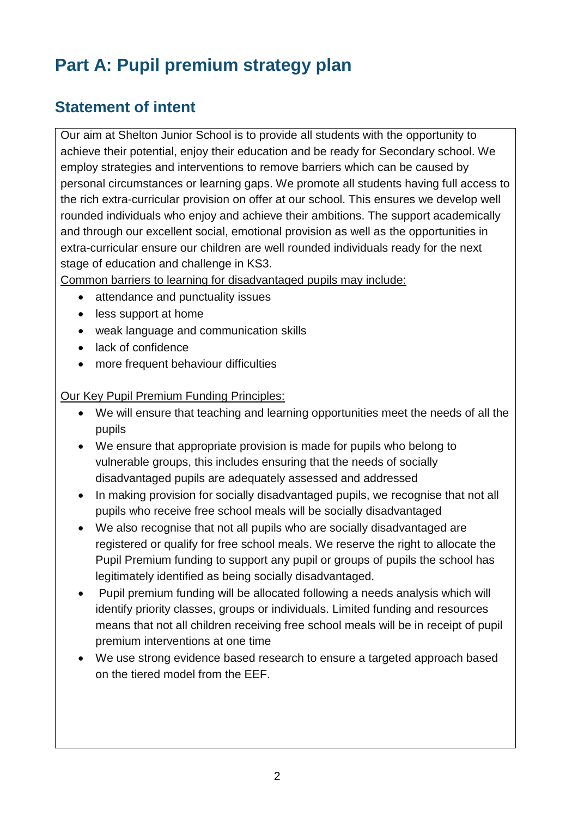# **Part A: Pupil premium strategy plan**

## **Statement of intent**

Our aim at Shelton Junior School is to provide all students with the opportunity to achieve their potential, enjoy their education and be ready for Secondary school. We employ strategies and interventions to remove barriers which can be caused by personal circumstances or learning gaps. We promote all students having full access to the rich extra-curricular provision on offer at our school. This ensures we develop well rounded individuals who enjoy and achieve their ambitions. The support academically and through our excellent social, emotional provision as well as the opportunities in extra-curricular ensure our children are well rounded individuals ready for the next stage of education and challenge in KS3.

Common barriers to learning for disadvantaged pupils may include:

- attendance and punctuality issues
- less support at home
- weak language and communication skills
- lack of confidence
- more frequent behaviour difficulties

Our Key Pupil Premium Funding Principles:

- We will ensure that teaching and learning opportunities meet the needs of all the pupils
- We ensure that appropriate provision is made for pupils who belong to vulnerable groups, this includes ensuring that the needs of socially disadvantaged pupils are adequately assessed and addressed
- In making provision for socially disadvantaged pupils, we recognise that not all pupils who receive free school meals will be socially disadvantaged
- We also recognise that not all pupils who are socially disadvantaged are registered or qualify for free school meals. We reserve the right to allocate the Pupil Premium funding to support any pupil or groups of pupils the school has legitimately identified as being socially disadvantaged.
- Pupil premium funding will be allocated following a needs analysis which will identify priority classes, groups or individuals. Limited funding and resources means that not all children receiving free school meals will be in receipt of pupil premium interventions at one time
- We use strong evidence based research to ensure a targeted approach based on the tiered model from the EEF.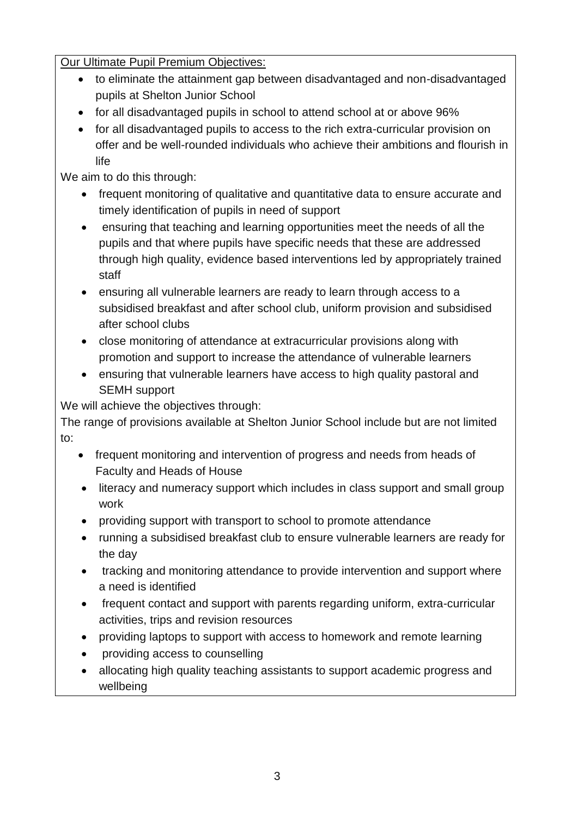Our Ultimate Pupil Premium Objectives:

- to eliminate the attainment gap between disadvantaged and non-disadvantaged pupils at Shelton Junior School
- for all disadvantaged pupils in school to attend school at or above 96%
- for all disadvantaged pupils to access to the rich extra-curricular provision on offer and be well-rounded individuals who achieve their ambitions and flourish in life

We aim to do this through:

- frequent monitoring of qualitative and quantitative data to ensure accurate and timely identification of pupils in need of support
- ensuring that teaching and learning opportunities meet the needs of all the pupils and that where pupils have specific needs that these are addressed through high quality, evidence based interventions led by appropriately trained staff
- ensuring all vulnerable learners are ready to learn through access to a subsidised breakfast and after school club, uniform provision and subsidised after school clubs
- close monitoring of attendance at extracurricular provisions along with promotion and support to increase the attendance of vulnerable learners
- ensuring that vulnerable learners have access to high quality pastoral and SEMH support

We will achieve the objectives through:

The range of provisions available at Shelton Junior School include but are not limited to:

- frequent monitoring and intervention of progress and needs from heads of Faculty and Heads of House
- literacy and numeracy support which includes in class support and small group work
- providing support with transport to school to promote attendance
- running a subsidised breakfast club to ensure vulnerable learners are ready for the day
- tracking and monitoring attendance to provide intervention and support where a need is identified
- frequent contact and support with parents regarding uniform, extra-curricular activities, trips and revision resources
- providing laptops to support with access to homework and remote learning
- providing access to counselling
- allocating high quality teaching assistants to support academic progress and wellbeing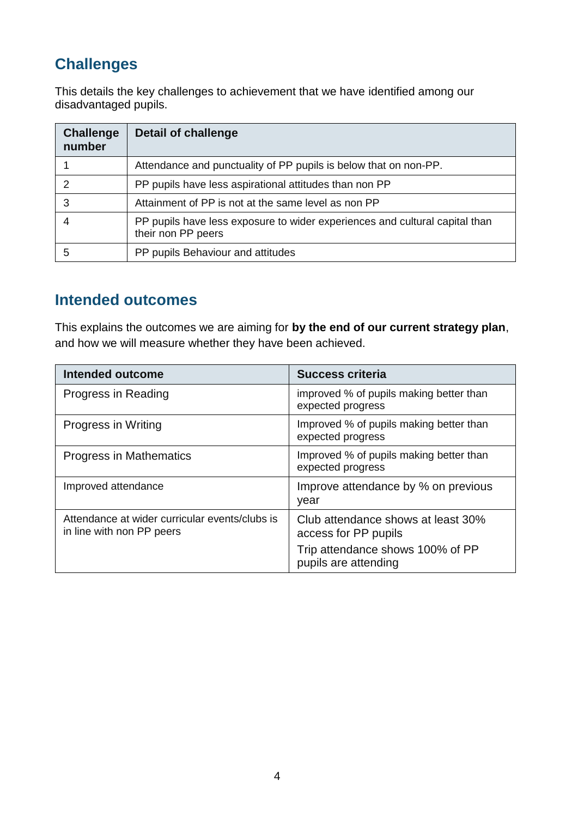## **Challenges**

This details the key challenges to achievement that we have identified among our disadvantaged pupils.

| <b>Challenge</b><br>number | <b>Detail of challenge</b>                                                                        |
|----------------------------|---------------------------------------------------------------------------------------------------|
|                            | Attendance and punctuality of PP pupils is below that on non-PP.                                  |
| $\mathcal{P}$              | PP pupils have less aspirational attitudes than non PP                                            |
| 3                          | Attainment of PP is not at the same level as non PP                                               |
|                            | PP pupils have less exposure to wider experiences and cultural capital than<br>their non PP peers |
| 5                          | PP pupils Behaviour and attitudes                                                                 |

#### **Intended outcomes**

This explains the outcomes we are aiming for **by the end of our current strategy plan**, and how we will measure whether they have been achieved.

| Intended outcome                                                            | <b>Success criteria</b>                                      |
|-----------------------------------------------------------------------------|--------------------------------------------------------------|
| Progress in Reading                                                         | improved % of pupils making better than<br>expected progress |
| Progress in Writing                                                         | Improved % of pupils making better than<br>expected progress |
| Progress in Mathematics                                                     | Improved % of pupils making better than<br>expected progress |
| Improved attendance                                                         | Improve attendance by % on previous<br>year                  |
| Attendance at wider curricular events/clubs is<br>in line with non PP peers | Club attendance shows at least 30%<br>access for PP pupils   |
|                                                                             | Trip attendance shows 100% of PP<br>pupils are attending     |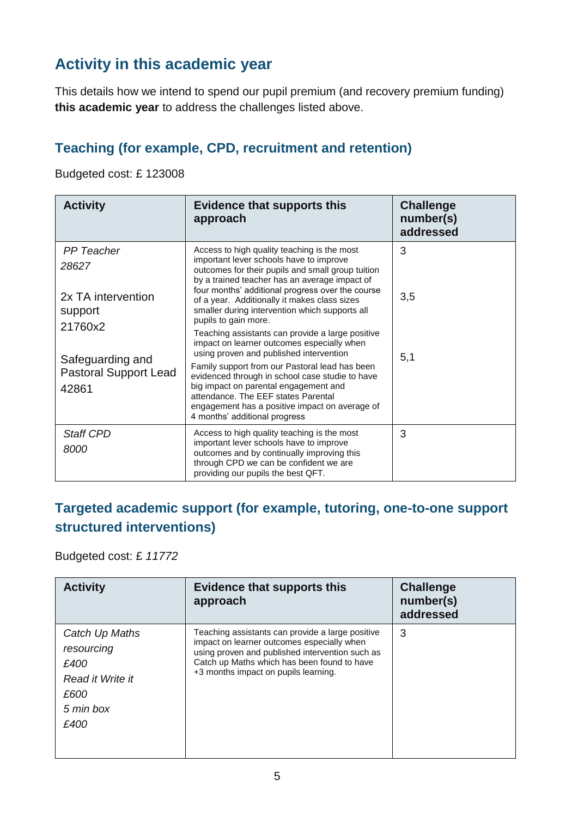## **Activity in this academic year**

This details how we intend to spend our pupil premium (and recovery premium funding) **this academic year** to address the challenges listed above.

#### **Teaching (for example, CPD, recruitment and retention)**

Budgeted cost: £ 123008

| <b>Activity</b>                                                                                                                     | <b>Evidence that supports this</b><br>approach                                                                                                                                                                                                                                                                                                                                                                                                                                                                                                                                                                                                                                                               | <b>Challenge</b><br>number(s)<br>addressed |  |
|-------------------------------------------------------------------------------------------------------------------------------------|--------------------------------------------------------------------------------------------------------------------------------------------------------------------------------------------------------------------------------------------------------------------------------------------------------------------------------------------------------------------------------------------------------------------------------------------------------------------------------------------------------------------------------------------------------------------------------------------------------------------------------------------------------------------------------------------------------------|--------------------------------------------|--|
| <b>PP</b> Teacher<br>28627<br>2x TA intervention<br>support<br>21760x2<br>Safeguarding and<br><b>Pastoral Support Lead</b><br>42861 | Access to high quality teaching is the most<br>important lever schools have to improve<br>outcomes for their pupils and small group tuition<br>by a trained teacher has an average impact of<br>four months' additional progress over the course<br>of a year. Additionally it makes class sizes<br>smaller during intervention which supports all<br>pupils to gain more.<br>Teaching assistants can provide a large positive<br>impact on learner outcomes especially when<br>using proven and published intervention<br>Family support from our Pastoral lead has been<br>evidenced through in school case studie to have<br>big impact on parental engagement and<br>attendance. The EEF states Parental | 3<br>3,5<br>5,1                            |  |
|                                                                                                                                     | engagement has a positive impact on average of<br>4 months' additional progress                                                                                                                                                                                                                                                                                                                                                                                                                                                                                                                                                                                                                              |                                            |  |
| <b>Staff CPD</b><br>8000                                                                                                            | Access to high quality teaching is the most<br>important lever schools have to improve<br>outcomes and by continually improving this<br>through CPD we can be confident we are<br>providing our pupils the best QFT.                                                                                                                                                                                                                                                                                                                                                                                                                                                                                         | 3                                          |  |

#### **Targeted academic support (for example, tutoring, one-to-one support structured interventions)**

Budgeted cost: £ *11772*

| <b>Activity</b>                                                                       | <b>Evidence that supports this</b><br>approach                                                                                                                                                                                           | <b>Challenge</b><br>number(s)<br>addressed |
|---------------------------------------------------------------------------------------|------------------------------------------------------------------------------------------------------------------------------------------------------------------------------------------------------------------------------------------|--------------------------------------------|
| Catch Up Maths<br>resourcing<br>£400<br>Read it Write it<br>£600<br>5 min box<br>£400 | Teaching assistants can provide a large positive<br>impact on learner outcomes especially when<br>using proven and published intervention such as<br>Catch up Maths which has been found to have<br>+3 months impact on pupils learning. | 3                                          |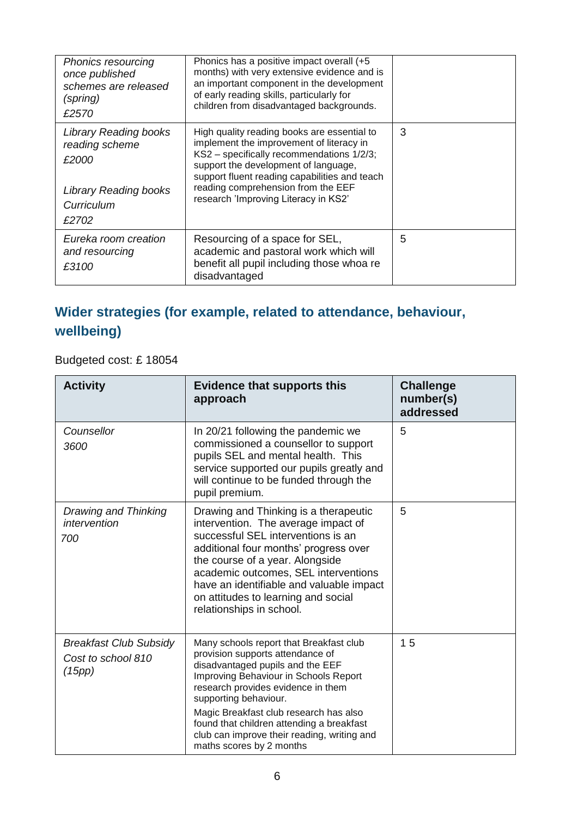| <b>Phonics resourcing</b><br>once published<br>schemes are released<br>(spring)<br>£2570                       | Phonics has a positive impact overall (+5<br>months) with very extensive evidence and is<br>an important component in the development<br>of early reading skills, particularly for<br>children from disadvantaged backgrounds.                                                                              |   |
|----------------------------------------------------------------------------------------------------------------|-------------------------------------------------------------------------------------------------------------------------------------------------------------------------------------------------------------------------------------------------------------------------------------------------------------|---|
| <b>Library Reading books</b><br>reading scheme<br>£2000<br><b>Library Reading books</b><br>Curriculum<br>£2702 | High quality reading books are essential to<br>implement the improvement of literacy in<br>KS2 - specifically recommendations 1/2/3;<br>support the development of language,<br>support fluent reading capabilities and teach<br>reading comprehension from the EEF<br>research 'Improving Literacy in KS2' | 3 |
| Eureka room creation<br>and resourcing<br>£3100                                                                | Resourcing of a space for SEL,<br>academic and pastoral work which will<br>benefit all pupil including those whoa re<br>disadvantaged                                                                                                                                                                       | 5 |

## **Wider strategies (for example, related to attendance, behaviour, wellbeing)**

Budgeted cost: £ 18054

| <b>Activity</b>                                               | <b>Evidence that supports this</b><br>approach                                                                                                                                                                                                                                                                                                                                            | <b>Challenge</b><br>number(s)<br>addressed |  |
|---------------------------------------------------------------|-------------------------------------------------------------------------------------------------------------------------------------------------------------------------------------------------------------------------------------------------------------------------------------------------------------------------------------------------------------------------------------------|--------------------------------------------|--|
| Counsellor<br>3600                                            | In 20/21 following the pandemic we<br>commissioned a counsellor to support<br>pupils SEL and mental health. This<br>service supported our pupils greatly and<br>will continue to be funded through the<br>pupil premium.                                                                                                                                                                  | 5                                          |  |
| Drawing and Thinking<br>intervention<br>700                   | Drawing and Thinking is a therapeutic<br>intervention. The average impact of<br>successful SEL interventions is an<br>additional four months' progress over<br>the course of a year. Alongside<br>academic outcomes, SEL interventions<br>have an identifiable and valuable impact<br>on attitudes to learning and social<br>relationships in school.                                     | 5                                          |  |
| <b>Breakfast Club Subsidy</b><br>Cost to school 810<br>(15pp) | Many schools report that Breakfast club<br>provision supports attendance of<br>disadvantaged pupils and the EEF<br>Improving Behaviour in Schools Report<br>research provides evidence in them<br>supporting behaviour.<br>Magic Breakfast club research has also<br>found that children attending a breakfast<br>club can improve their reading, writing and<br>maths scores by 2 months | 15                                         |  |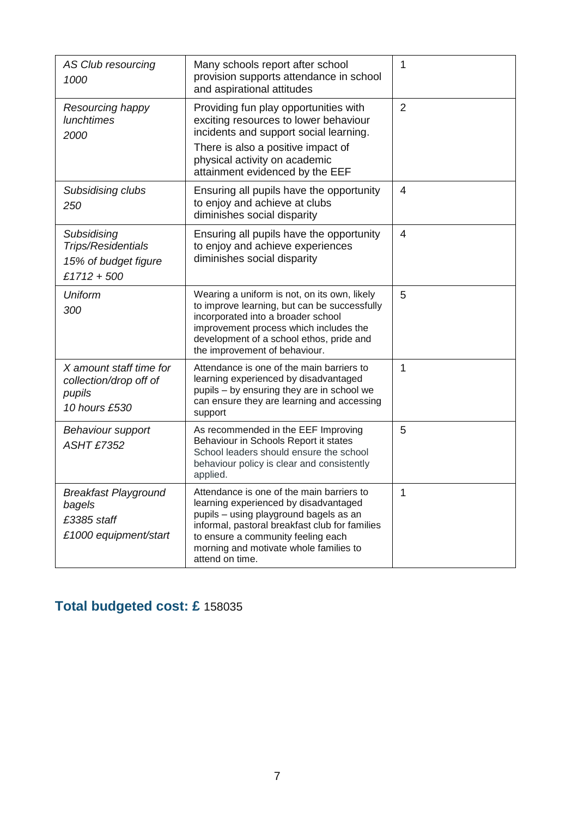| AS Club resourcing<br>1000                                                                                                                                                                                                                                                                                                                                         | Many schools report after school<br>provision supports attendance in school<br>and aspirational attitudes                                                                                                                                                 | 1              |
|--------------------------------------------------------------------------------------------------------------------------------------------------------------------------------------------------------------------------------------------------------------------------------------------------------------------------------------------------------------------|-----------------------------------------------------------------------------------------------------------------------------------------------------------------------------------------------------------------------------------------------------------|----------------|
| Resourcing happy<br><b>lunchtimes</b><br>2000                                                                                                                                                                                                                                                                                                                      | Providing fun play opportunities with<br>exciting resources to lower behaviour<br>incidents and support social learning.                                                                                                                                  | 2              |
|                                                                                                                                                                                                                                                                                                                                                                    | There is also a positive impact of<br>physical activity on academic<br>attainment evidenced by the EEF                                                                                                                                                    |                |
| Subsidising clubs<br>250                                                                                                                                                                                                                                                                                                                                           | Ensuring all pupils have the opportunity<br>to enjoy and achieve at clubs<br>diminishes social disparity                                                                                                                                                  | 4              |
| Subsidising<br>Trips/Residentials<br>15% of budget figure<br>$£1712 + 500$                                                                                                                                                                                                                                                                                         | Ensuring all pupils have the opportunity<br>to enjoy and achieve experiences<br>diminishes social disparity                                                                                                                                               | $\overline{4}$ |
| Uniform<br>300                                                                                                                                                                                                                                                                                                                                                     | Wearing a uniform is not, on its own, likely<br>to improve learning, but can be successfully<br>incorporated into a broader school<br>improvement process which includes the<br>development of a school ethos, pride and<br>the improvement of behaviour. | 5              |
| X amount staff time for<br>collection/drop off of<br>pupils<br>10 hours £530                                                                                                                                                                                                                                                                                       | Attendance is one of the main barriers to<br>learning experienced by disadvantaged<br>pupils - by ensuring they are in school we<br>can ensure they are learning and accessing<br>support                                                                 | 1              |
| <b>Behaviour support</b><br><b>ASHT £7352</b>                                                                                                                                                                                                                                                                                                                      | As recommended in the EEF Improving<br>Behaviour in Schools Report it states<br>School leaders should ensure the school<br>behaviour policy is clear and consistently<br>applied.                                                                         | 5              |
| <b>Breakfast Playground</b><br>Attendance is one of the main barriers to<br>learning experienced by disadvantaged<br>bagels<br>pupils - using playground bagels as an<br>£3385 staff<br>informal, pastoral breakfast club for families<br>£1000 equipment/start<br>to ensure a community feeling each<br>morning and motivate whole families to<br>attend on time. |                                                                                                                                                                                                                                                           | 1              |

## **Total budgeted cost: £** 158035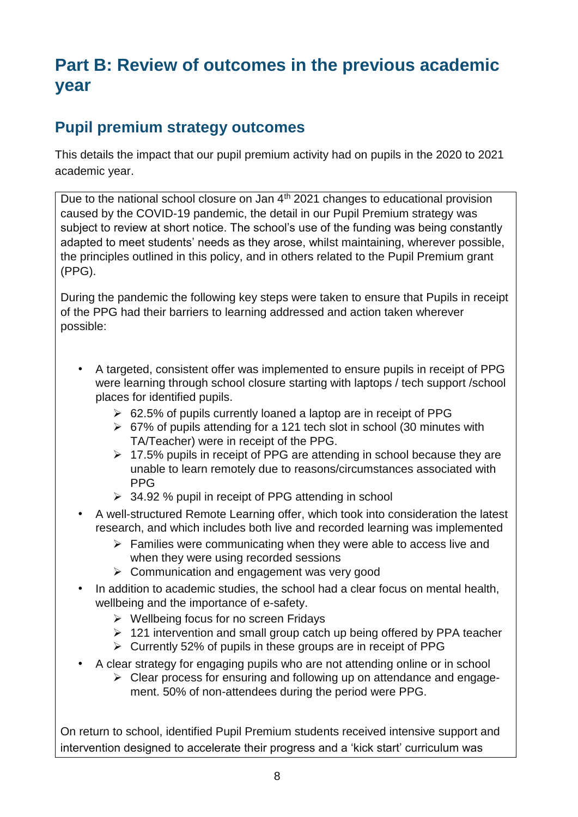# **Part B: Review of outcomes in the previous academic year**

## **Pupil premium strategy outcomes**

This details the impact that our pupil premium activity had on pupils in the 2020 to 2021 academic year.

Due to the national school closure on Jan 4<sup>th</sup> 2021 changes to educational provision caused by the COVID-19 pandemic, the detail in our Pupil Premium strategy was subject to review at short notice. The school's use of the funding was being constantly adapted to meet students' needs as they arose, whilst maintaining, wherever possible, the principles outlined in this policy, and in others related to the Pupil Premium grant (PPG).

During the pandemic the following key steps were taken to ensure that Pupils in receipt of the PPG had their barriers to learning addressed and action taken wherever possible:

- A targeted, consistent offer was implemented to ensure pupils in receipt of PPG were learning through school closure starting with laptops / tech support / school places for identified pupils.
	- $\geq 62.5\%$  of pupils currently loaned a laptop are in receipt of PPG
	- $\geq 67\%$  of pupils attending for a 121 tech slot in school (30 minutes with TA/Teacher) were in receipt of the PPG.
	- $\geq 17.5\%$  pupils in receipt of PPG are attending in school because they are unable to learn remotely due to reasons/circumstances associated with PPG
	- $\geq$  34.92 % pupil in receipt of PPG attending in school
- A well-structured Remote Learning offer, which took into consideration the latest research, and which includes both live and recorded learning was implemented
	- $\triangleright$  Families were communicating when they were able to access live and when they were using recorded sessions
	- $\triangleright$  Communication and engagement was very good
- In addition to academic studies, the school had a clear focus on mental health, wellbeing and the importance of e-safety.
	- $\triangleright$  Wellbeing focus for no screen Fridays
	- $\geq 121$  intervention and small group catch up being offered by PPA teacher
	- $\triangleright$  Currently 52% of pupils in these groups are in receipt of PPG
- A clear strategy for engaging pupils who are not attending online or in school
	- $\triangleright$  Clear process for ensuring and following up on attendance and engagement. 50% of non-attendees during the period were PPG.

On return to school, identified Pupil Premium students received intensive support and intervention designed to accelerate their progress and a 'kick start' curriculum was